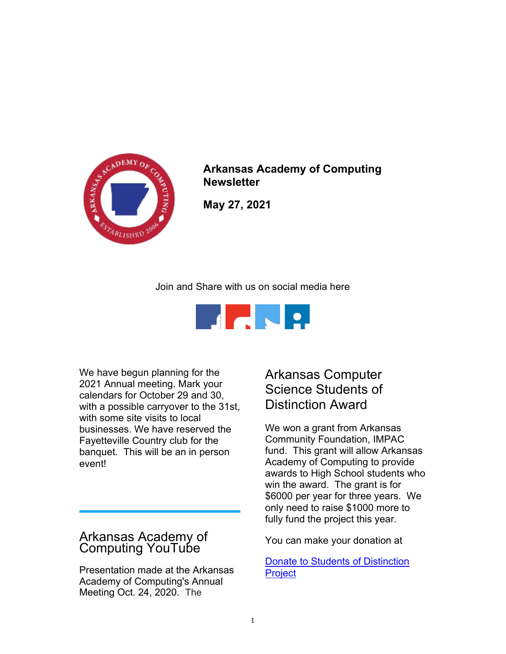

Arkansas Academy of Computing **Newsletter** 

May 27, 2021

Join and Share with us on social media here



We have begun planning for the 2021 Annual meeting. Mark your calendars for October 29 and 30, with a possible carryover to the 31st, with some site visits to local businesses. We have reserved the Fayetteville Country club for the banquet. This will be an in person event!

## Arkansas Academy of Computing YouTube

Presentation made at the Arkansas Academy of Computing's Annual Meeting Oct. 24, 2020. The

## Arkansas Computer Science Students of Distinction Award

We won a grant from Arkansas Community Foundation, IMPAC fund. This grant will allow Arkansas Academy of Computing to provide awards to High School students who win the award. The grant is for \$6000 per year for three years. We only need to raise \$1000 more to fully fund the project this year.

You can make your donation at

Donate to Students of Distinction **Project**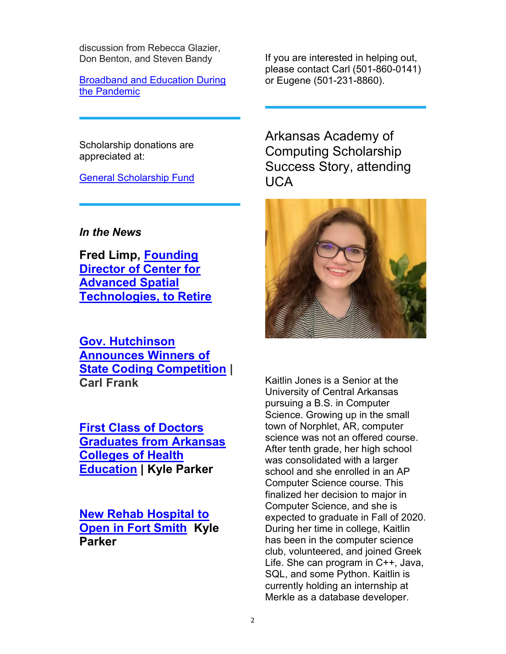discussion from Rebecca Glazier, Don Benton, and Steven Bandy

Broadband and Education During the Pandemic

If you are interested in helping out, please contact Carl (501-860-0141) or Eugene (501-231-8860).

Scholarship donations are appreciated at:

General Scholarship Fund

In the News

Fred Limp, Founding Director of Center for Advanced Spatial Technologies, to Retire

Gov. Hutchinson Announces Winners of State Coding Competition | Carl Frank

First Class of Doctors Graduates from Arkansas Colleges of Health Education | Kyle Parker

New Rehab Hospital to Open in Fort Smith Kyle Parker

Arkansas Academy of Computing Scholarship Success Story, attending UCA



Kaitlin Jones is a Senior at the University of Central Arkansas pursuing a B.S. in Computer Science. Growing up in the small town of Norphlet, AR, computer science was not an offered course. After tenth grade, her high school was consolidated with a larger school and she enrolled in an AP Computer Science course. This finalized her decision to major in Computer Science, and she is expected to graduate in Fall of 2020. During her time in college, Kaitlin has been in the computer science club, volunteered, and joined Greek Life. She can program in C++, Java, SQL, and some Python. Kaitlin is currently holding an internship at Merkle as a database developer.